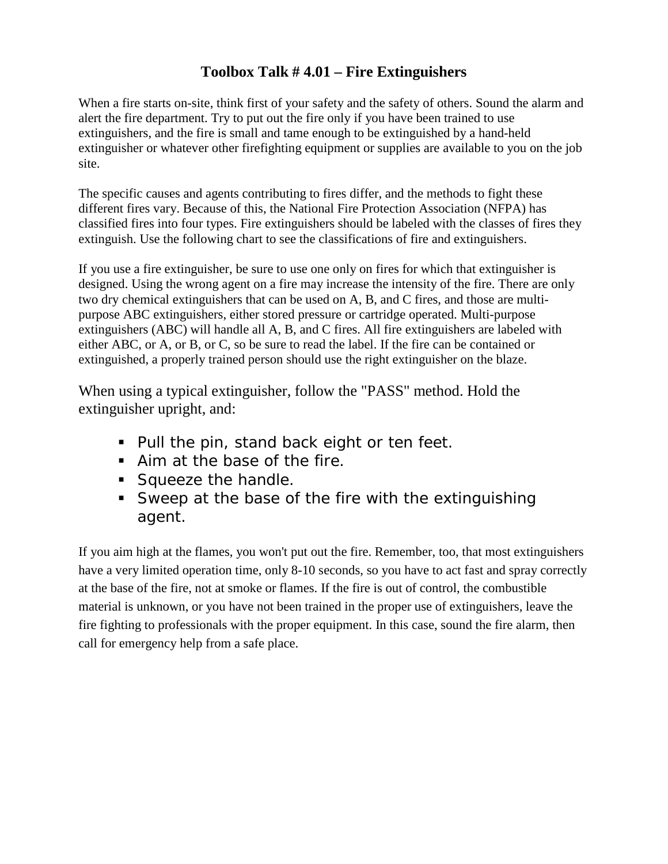## **Toolbox Talk # 4.01 – Fire Extinguishers**

When a fire starts on-site, think first of your safety and the safety of others. Sound the alarm and alert the fire department. Try to put out the fire only if you have been trained to use extinguishers, and the fire is small and tame enough to be extinguished by a hand-held extinguisher or whatever other firefighting equipment or supplies are available to you on the job site.

The specific causes and agents contributing to fires differ, and the methods to fight these different fires vary. Because of this, the National Fire Protection Association (NFPA) has classified fires into four types. Fire extinguishers should be labeled with the classes of fires they extinguish. Use the following chart to see the classifications of fire and extinguishers.

If you use a fire extinguisher, be sure to use one only on fires for which that extinguisher is designed. Using the wrong agent on a fire may increase the intensity of the fire. There are only two dry chemical extinguishers that can be used on A, B, and C fires, and those are multipurpose ABC extinguishers, either stored pressure or cartridge operated. Multi-purpose extinguishers (ABC) will handle all A, B, and C fires. All fire extinguishers are labeled with either ABC, or A, or B, or C, so be sure to read the label. If the fire can be contained or extinguished, a properly trained person should use the right extinguisher on the blaze.

When using a typical extinguisher, follow the "PASS" method. Hold the extinguisher upright, and:

- Pull the pin, stand back eight or ten feet.
- Aim at the base of the fire.
- Squeeze the handle.
- Sweep at the base of the fire with the extinguishing agent.

If you aim high at the flames, you won't put out the fire. Remember, too, that most extinguishers have a very limited operation time, only 8-10 seconds, so you have to act fast and spray correctly at the base of the fire, not at smoke or flames. If the fire is out of control, the combustible material is unknown, or you have not been trained in the proper use of extinguishers, leave the fire fighting to professionals with the proper equipment. In this case, sound the fire alarm, then call for emergency help from a safe place.